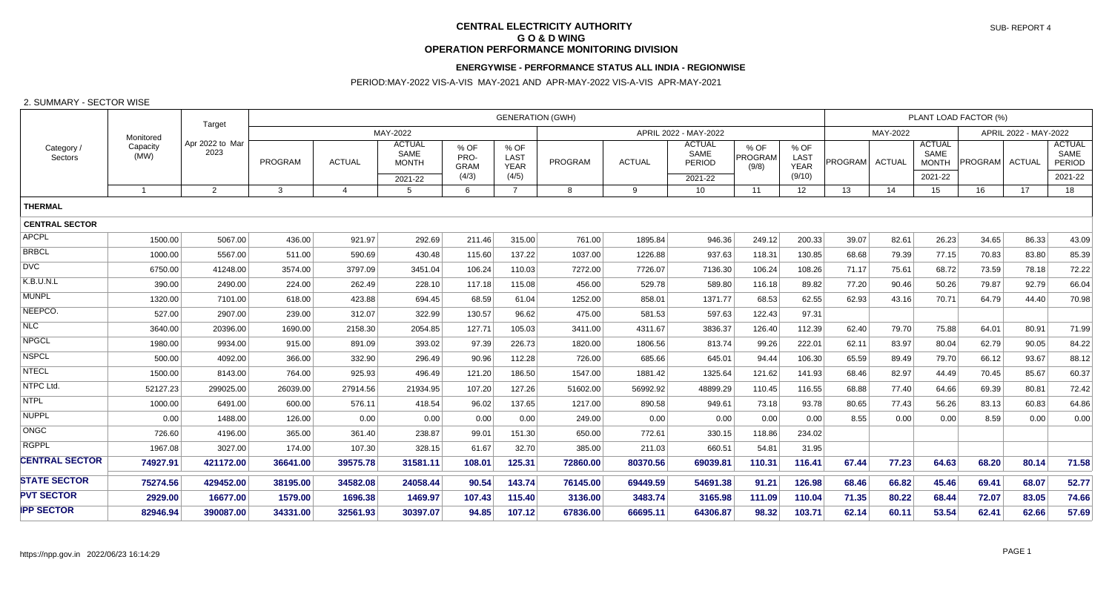# **CENTRAL ELECTRICITY AUTHORITY G O & D WING OPERATION PERFORMANCE MONITORING DIVISION**

## **ENERGYWISE - PERFORMANCE STATUS ALL INDIA - REGIONWISE**

# PERIOD:MAY-2022 VIS-A-VIS MAY-2021 AND APR-MAY-2022 VIS-A-VIS APR-MAY-2021

#### 2. SUMMARY - SECTOR WISE

|                       |                  | Target                  | <b>GENERATION (GWH)</b> |                |                                       |                             |                             |                |                       |                                 |                          |                      | PLANT LOAD FACTOR (%) |       |                                       |                |                       |                                 |  |
|-----------------------|------------------|-------------------------|-------------------------|----------------|---------------------------------------|-----------------------------|-----------------------------|----------------|-----------------------|---------------------------------|--------------------------|----------------------|-----------------------|-------|---------------------------------------|----------------|-----------------------|---------------------------------|--|
|                       | Monitored        |                         | MAY-2022                |                |                                       |                             |                             |                | APRIL 2022 - MAY-2022 |                                 |                          |                      |                       |       |                                       |                | APRIL 2022 - MAY-2022 |                                 |  |
| Category /<br>Sectors | Capacity<br>(MW) | Apr 2022 to Mar<br>2023 | PROGRAM                 | <b>ACTUAL</b>  | <b>ACTUAL</b><br>SAME<br><b>MONTH</b> | % OF<br>PRO-<br><b>GRAM</b> | % OF<br>LAST<br><b>YEAR</b> | <b>PROGRAM</b> | <b>ACTUAL</b>         | <b>ACTUAL</b><br>SAME<br>PERIOD | % OF<br>PROGRAM<br>(9/8) | % OF<br>LAST<br>YEAR | PROGRAM ACTUAL        |       | <b>ACTUAL</b><br>SAME<br><b>MONTH</b> | PROGRAM ACTUAL |                       | <b>ACTUAL</b><br>SAME<br>PERIOD |  |
|                       |                  |                         |                         |                | 2021-22                               | (4/3)                       | (4/5)                       |                |                       | 2021-22                         |                          | (9/10)               |                       |       | 2021-22                               |                |                       | 2021-22                         |  |
|                       | $\overline{1}$   | 2                       | $\mathbf{3}$            | $\overline{4}$ | 5                                     | 6                           | $\overline{7}$              | 8              | 9                     | 10 <sup>1</sup>                 | 11                       | 12                   | 13                    | 14    | 15                                    | 16             | 17 <sup>17</sup>      | 18                              |  |
| <b>THERMAL</b>        |                  |                         |                         |                |                                       |                             |                             |                |                       |                                 |                          |                      |                       |       |                                       |                |                       |                                 |  |
| <b>CENTRAL SECTOR</b> |                  |                         |                         |                |                                       |                             |                             |                |                       |                                 |                          |                      |                       |       |                                       |                |                       |                                 |  |
| <b>APCPL</b>          | 1500.00          | 5067.00                 | 436.00                  | 921.97         | 292.69                                | 211.46                      | 315.00                      | 761.00         | 1895.84               | 946.36                          | 249.12                   | 200.33               | 39.07                 | 82.61 | 26.23                                 | 34.65          | 86.33                 | 43.09                           |  |
| <b>BRBCL</b>          | 1000.00          | 5567.00                 | 511.00                  | 590.69         | 430.48                                | 115.60                      | 137.22                      | 1037.00        | 1226.88               | 937.63                          | 118.31                   | 130.85               | 68.68                 | 79.39 | 77.15                                 | 70.83          | 83.80                 | 85.39                           |  |
| <b>DVC</b>            | 6750.00          | 41248.00                | 3574.00                 | 3797.09        | 3451.04                               | 106.24                      | 110.03                      | 7272.00        | 7726.07               | 7136.30                         | 106.24                   | 108.26               | 71.17                 | 75.61 | 68.72                                 | 73.59          | 78.18                 | 72.22                           |  |
| K.B.U.N.L             | 390.00           | 2490.00                 | 224.00                  | 262.49         | 228.10                                | 117.18                      | 115.08                      | 456.00         | 529.78                | 589.80                          | 116.18                   | 89.82                | 77.20                 | 90.46 | 50.26                                 | 79.87          | 92.79                 | 66.04                           |  |
| <b>MUNPL</b>          | 1320.00          | 7101.00                 | 618.00                  | 423.88         | 694.45                                | 68.59                       | 61.04                       | 1252.00        | 858.01                | 1371.77                         | 68.53                    | 62.55                | 62.93                 | 43.16 | 70.71                                 | 64.79          | 44.40                 | 70.98                           |  |
| NEEPCO.               | 527.00           | 2907.00                 | 239.00                  | 312.07         | 322.99                                | 130.57                      | 96.62                       | 475.00         | 581.53                | 597.63                          | 122.43                   | 97.31                |                       |       |                                       |                |                       |                                 |  |
| <b>NLC</b>            | 3640.00          | 20396.00                | 1690.00                 | 2158.30        | 2054.85                               | 127.71                      | 105.03                      | 3411.00        | 4311.67               | 3836.37                         | 126.40                   | 112.39               | 62.40                 | 79.70 | 75.88                                 | 64.01          | 80.91                 | 71.99                           |  |
| <b>NPGCL</b>          | 1980.00          | 9934.00                 | 915.00                  | 891.09         | 393.02                                | 97.39                       | 226.73                      | 1820.00        | 1806.56               | 813.74                          | 99.26                    | 222.01               | 62.11                 | 83.97 | 80.04                                 | 62.79          | 90.05                 | 84.22                           |  |
| <b>NSPCL</b>          | 500.00           | 4092.00                 | 366.00                  | 332.90         | 296.49                                | 90.96                       | 112.28                      | 726.00         | 685.66                | 645.01                          | 94.44                    | 106.30               | 65.59                 | 89.49 | 79.70                                 | 66.12          | 93.67                 | 88.12                           |  |
| <b>NTECL</b>          | 1500.00          | 8143.00                 | 764.00                  | 925.93         | 496.49                                | 121.20                      | 186.50                      | 1547.00        | 1881.42               | 1325.64                         | 121.62                   | 141.93               | 68.46                 | 82.97 | 44.49                                 | 70.45          | 85.67                 | 60.37                           |  |
| NTPC Ltd.             | 52127.23         | 299025.00               | 26039.00                | 27914.56       | 21934.95                              | 107.20                      | 127.26                      | 51602.00       | 56992.92              | 48899.29                        | 110.45                   | 116.55               | 68.88                 | 77.40 | 64.66                                 | 69.39          | 80.81                 | 72.42                           |  |
| <b>NTPL</b>           | 1000.00          | 6491.00                 | 600.00                  | 576.11         | 418.54                                | 96.02                       | 137.65                      | 1217.00        | 890.58                | 949.61                          | 73.18                    | 93.78                | 80.65                 | 77.43 | 56.26                                 | 83.13          | 60.83                 | 64.86                           |  |
| <b>NUPPL</b>          | 0.00             | 1488.00                 | 126.00                  | 0.00           | 0.00                                  | 0.00                        | 0.00                        | 249.00         | 0.00                  | 0.00                            | 0.00                     | 0.00                 | 8.55                  | 0.00  | 0.00                                  | 8.59           | 0.00                  | 0.00                            |  |
| <b>ONGC</b>           | 726.60           | 4196.00                 | 365.00                  | 361.40         | 238.87                                | 99.01                       | 151.30                      | 650.00         | 772.61                | 330.15                          | 118.86                   | 234.02               |                       |       |                                       |                |                       |                                 |  |
| <b>RGPPL</b>          | 1967.08          | 3027.00                 | 174.00                  | 107.30         | 328.15                                | 61.67                       | 32.70                       | 385.00         | 211.03                | 660.51                          | 54.81                    | 31.95                |                       |       |                                       |                |                       |                                 |  |
| <b>CENTRAL SECTOR</b> | 74927.91         | 421172.00               | 36641.00                | 39575.78       | 31581.11                              | 108.01                      | 125.31                      | 72860.00       | 80370.56              | 69039.81                        | 110.31                   | 116.41               | 67.44                 | 77.23 | 64.63                                 | 68.20          | 80.14                 | 71.58                           |  |
| <b>STATE SECTOR</b>   | 75274.56         | 429452.00               | 38195.00                | 34582.08       | 24058.44                              | 90.54                       | 143.74                      | 76145.00       | 69449.59              | 54691.38                        | 91.21                    | 126.98               | 68.46                 | 66.82 | 45.46                                 | 69.41          | 68.07                 | 52.77                           |  |
| <b>PVT SECTOR</b>     | 2929.00          | 16677.00                | 1579.00                 | 1696.38        | 1469.97                               | 107.43                      | 115.40                      | 3136.00        | 3483.74               | 3165.98                         | 111.09                   | 110.04               | 71.35                 | 80.22 | 68.44                                 | 72.07          | 83.05                 | 74.66                           |  |
| <b>IPP SECTOR</b>     | 82946.94         | 390087.00               | 34331.00                | 32561.93       | 30397.07                              | 94.85                       | 107.12                      | 67836.00       | 66695.11              | 64306.87                        | 98.32                    | 103.71               | 62.14                 | 60.11 | 53.54                                 | 62.41          | 62.66                 | 57.69                           |  |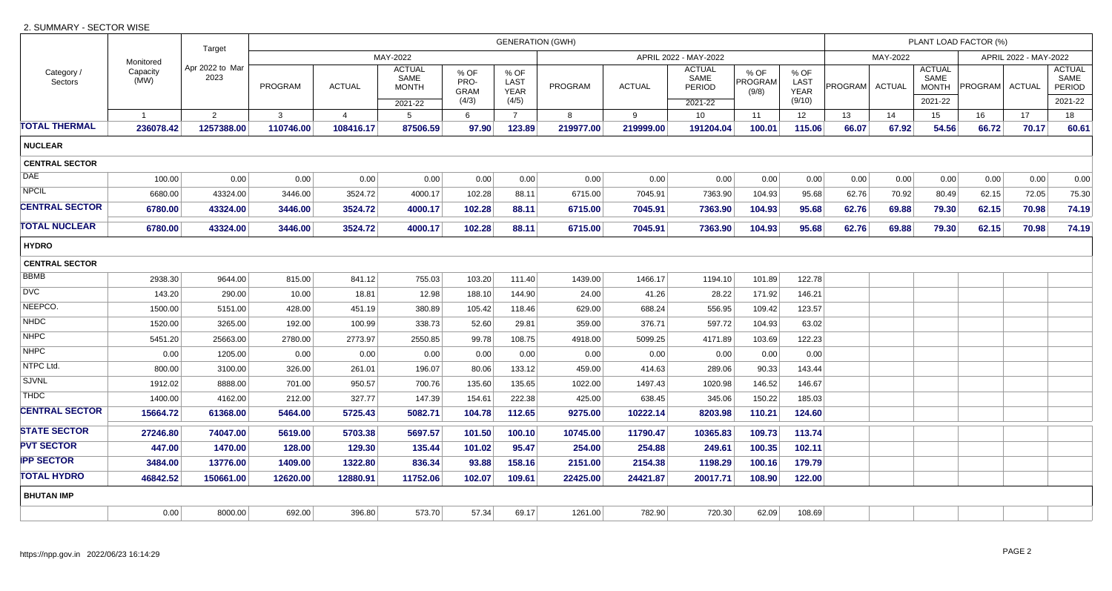## 2. SUMMARY - SECTOR WISE

|                       |                               | Target                  | <b>GENERATION (GWH)</b>           |                |                                       |                             |                             |                |               |                                        |                          |                                   |                | PLANT LOAD FACTOR (%) |                                       |                |       |                                        |  |  |
|-----------------------|-------------------------------|-------------------------|-----------------------------------|----------------|---------------------------------------|-----------------------------|-----------------------------|----------------|---------------|----------------------------------------|--------------------------|-----------------------------------|----------------|-----------------------|---------------------------------------|----------------|-------|----------------------------------------|--|--|
|                       | Monitored<br>Capacity<br>(MW) |                         | MAY-2022<br>APRIL 2022 - MAY-2022 |                |                                       |                             |                             |                |               |                                        |                          | MAY-2022<br>APRIL 2022 - MAY-2022 |                |                       |                                       |                |       |                                        |  |  |
| Category /<br>Sectors |                               | Apr 2022 to Mar<br>2023 | <b>PROGRAM</b>                    | <b>ACTUAL</b>  | <b>ACTUAL</b><br>SAME<br><b>MONTH</b> | % OF<br>PRO-<br><b>GRAM</b> | % OF<br>LAST<br><b>YEAR</b> | <b>PROGRAM</b> | <b>ACTUAL</b> | <b>ACTUAL</b><br>SAME<br><b>PERIOD</b> | % OF<br>PROGRAM<br>(9/8) | % OF<br>LAST<br><b>YEAR</b>       | <b>PROGRAM</b> | ACTUAL                | <b>ACTUAL</b><br>SAME<br><b>MONTH</b> | PROGRAM ACTUAL |       | <b>ACTUAL</b><br>SAME<br><b>PERIOD</b> |  |  |
|                       |                               |                         |                                   |                | 2021-22                               | (4/3)                       | (4/5)                       |                |               | 2021-22                                |                          | (9/10)                            |                |                       | 2021-22                               |                |       | 2021-22                                |  |  |
|                       | $\overline{1}$                | 2                       | $\mathbf{3}$                      | $\overline{4}$ | $5^{\circ}$                           | 6                           | $\overline{7}$              | 8              | 9             | 10                                     | 11                       | 12                                | 13             | 14                    | 15                                    | 16             | 17    | 18                                     |  |  |
| TOTAL THERMAL         | 236078.42                     | 1257388.00              | 110746.00                         | 108416.17      | 87506.59                              | 97.90                       | 123.89                      | 219977.00      | 219999.00     | 191204.04                              | 100.01                   | 115.06                            | 66.07          | 67.92                 | 54.56                                 | 66.72          | 70.17 | 60.61                                  |  |  |
| <b>NUCLEAR</b>        |                               |                         |                                   |                |                                       |                             |                             |                |               |                                        |                          |                                   |                |                       |                                       |                |       |                                        |  |  |
| <b>CENTRAL SECTOR</b> |                               |                         |                                   |                |                                       |                             |                             |                |               |                                        |                          |                                   |                |                       |                                       |                |       |                                        |  |  |
| DAE                   | 100.00                        | 0.00                    | 0.00                              | 0.00           | 0.00                                  | 0.00                        | 0.00                        | 0.00           | 0.00          | 0.00                                   | 0.00                     | 0.00                              | 0.00           | 0.00                  | 0.00                                  | 0.00           | 0.00  | 0.00                                   |  |  |
| <b>NPCIL</b>          | 6680.00                       | 43324.00                | 3446.00                           | 3524.72        | 4000.17                               | 102.28                      | 88.11                       | 6715.00        | 7045.91       | 7363.90                                | 104.93                   | 95.68                             | 62.76          | 70.92                 | 80.49                                 | 62.15          | 72.05 | 75.30                                  |  |  |
| <b>CENTRAL SECTOR</b> | 6780.00                       | 43324.00                | 3446.00                           | 3524.72        | 4000.17                               | 102.28                      | 88.11                       | 6715.00        | 7045.91       | 7363.90                                | 104.93                   | 95.68                             | 62.76          | 69.88                 | 79.30                                 | 62.15          | 70.98 | 74.19                                  |  |  |
| <b>TOTAL NUCLEAR</b>  | 6780.00                       | 43324.00                | 3446.00                           | 3524.72        | 4000.17                               | 102.28                      | 88.11                       | 6715.00        | 7045.91       | 7363.90                                | 104.93                   | 95.68                             | 62.76          | 69.88                 | 79.30                                 | 62.15          | 70.98 | 74.19                                  |  |  |
| <b>HYDRO</b>          |                               |                         |                                   |                |                                       |                             |                             |                |               |                                        |                          |                                   |                |                       |                                       |                |       |                                        |  |  |
| <b>CENTRAL SECTOR</b> |                               |                         |                                   |                |                                       |                             |                             |                |               |                                        |                          |                                   |                |                       |                                       |                |       |                                        |  |  |
| BBMB                  | 2938.30                       | 9644.00                 | 815.00                            | 841.12         | 755.03                                | 103.20                      | 111.40                      | 1439.00        | 1466.17       | 1194.10                                | 101.89                   | 122.78                            |                |                       |                                       |                |       |                                        |  |  |
| <b>DVC</b>            | 143.20                        | 290.00                  | 10.00                             | 18.81          | 12.98                                 | 188.10                      | 144.90                      | 24.00          | 41.26         | 28.22                                  | 171.92                   | 146.21                            |                |                       |                                       |                |       |                                        |  |  |
| NEEPCO.               | 1500.00                       | 5151.00                 | 428.00                            | 451.19         | 380.89                                | 105.42                      | 118.46                      | 629.00         | 688.24        | 556.95                                 | 109.42                   | 123.57                            |                |                       |                                       |                |       |                                        |  |  |
| <b>NHDC</b>           | 1520.00                       | 3265.00                 | 192.00                            | 100.99         | 338.73                                | 52.60                       | 29.81                       | 359.00         | 376.71        | 597.72                                 | 104.93                   | 63.02                             |                |                       |                                       |                |       |                                        |  |  |
| <b>NHPC</b>           | 5451.20                       | 25663.00                | 2780.00                           | 2773.97        | 2550.85                               | 99.78                       | 108.75                      | 4918.00        | 5099.25       | 4171.89                                | 103.69                   | 122.23                            |                |                       |                                       |                |       |                                        |  |  |
| <b>NHPC</b>           | 0.00                          | 1205.00                 | 0.00                              | 0.00           | 0.00                                  | 0.00                        | 0.00                        | 0.00           | 0.00          | 0.00                                   | 0.00                     | 0.00                              |                |                       |                                       |                |       |                                        |  |  |
| NTPC Ltd.             | 800.00                        | 3100.00                 | 326.00                            | 261.01         | 196.07                                | 80.06                       | 133.12                      | 459.00         | 414.63        | 289.06                                 | 90.33                    | 143.44                            |                |                       |                                       |                |       |                                        |  |  |
| <b>SJVNL</b>          | 1912.02                       | 8888.00                 | 701.00                            | 950.57         | 700.76                                | 135.60                      | 135.65                      | 1022.00        | 1497.43       | 1020.98                                | 146.52                   | 146.67                            |                |                       |                                       |                |       |                                        |  |  |
| <b>THDC</b>           | 1400.00                       | 4162.00                 | 212.00                            | 327.77         | 147.39                                | 154.61                      | 222.38                      | 425.00         | 638.45        | 345.06                                 | 150.22                   | 185.03                            |                |                       |                                       |                |       |                                        |  |  |
| <b>CENTRAL SECTOR</b> | 15664.72                      | 61368.00                | 5464.00                           | 5725.43        | 5082.71                               | 104.78                      | 112.65                      | 9275.00        | 10222.14      | 8203.98                                | 110.21                   | 124.60                            |                |                       |                                       |                |       |                                        |  |  |
| <b>STATE SECTOR</b>   | 27246.80                      | 74047.00                | 5619.00                           | 5703.38        | 5697.57                               | 101.50                      | 100.10                      | 10745.00       | 11790.47      | 10365.83                               | 109.73                   | 113.74                            |                |                       |                                       |                |       |                                        |  |  |
| <b>PVT SECTOR</b>     | 447.00                        | 1470.00                 | 128.00                            | 129.30         | 135.44                                | 101.02                      | 95.47                       | 254.00         | 254.88        | 249.61                                 | 100.35                   | 102.11                            |                |                       |                                       |                |       |                                        |  |  |
| <b>IPP SECTOR</b>     | 3484.00                       | 13776.00                | 1409.00                           | 1322.80        | 836.34                                | 93.88                       | 158.16                      | 2151.00        | 2154.38       | 1198.29                                | 100.16                   | 179.79                            |                |                       |                                       |                |       |                                        |  |  |
| <b>TOTAL HYDRO</b>    | 46842.52                      | 150661.00               | 12620.00                          | 12880.91       | 11752.06                              | 102.07                      | 109.61                      | 22425.00       | 24421.87      | 20017.71                               | 108.90                   | 122.00                            |                |                       |                                       |                |       |                                        |  |  |
| <b>BHUTAN IMP</b>     |                               |                         |                                   |                |                                       |                             |                             |                |               |                                        |                          |                                   |                |                       |                                       |                |       |                                        |  |  |
|                       | 0.00                          | 8000.00                 | 692.00                            | 396.80         | 573.70                                | 57.34                       | 69.17                       | 1261.00        | 782.90        | 720.30                                 | 62.09                    | 108.69                            |                |                       |                                       |                |       |                                        |  |  |